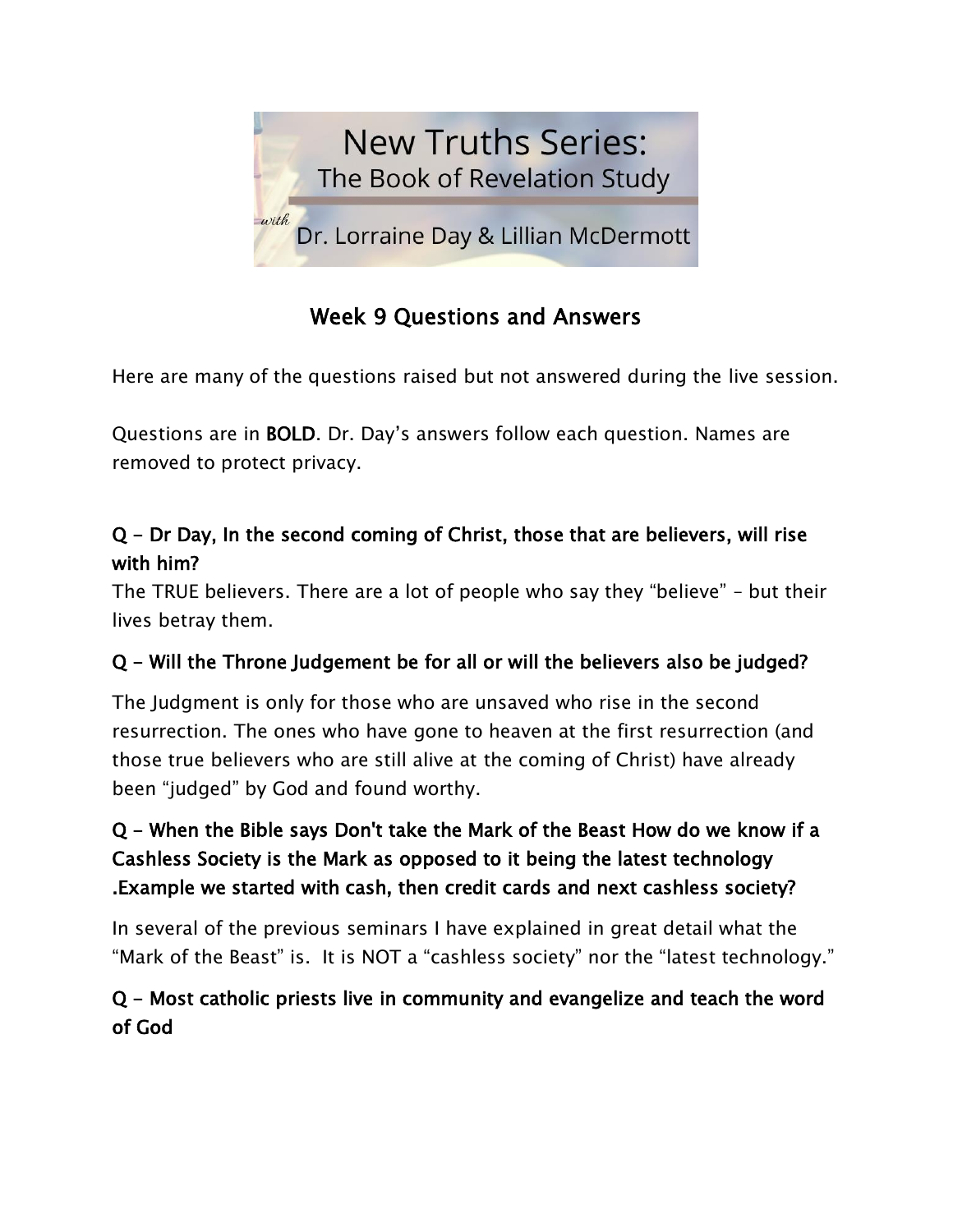

# Week 9 Questions and Answers

Here are many of the questions raised but not answered during the live session.

Questions are in BOLD. Dr. Day's answers follow each question. Names are removed to protect privacy.

## Q - Dr Day, In the second coming of Christ, those that are believers, will rise with him?

The TRUE believers. There are a lot of people who say they "believe" – but their lives betray them.

## Q - Will the Throne Judgement be for all or will the believers also be judged?

The Judgment is only for those who are unsaved who rise in the second resurrection. The ones who have gone to heaven at the first resurrection (and those true believers who are still alive at the coming of Christ) have already been "judged" by God and found worthy.

## Q - When the Bible says Don't take the Mark of the Beast How do we know if a Cashless Society is the Mark as opposed to it being the latest technology .Example we started with cash, then credit cards and next cashless society?

In several of the previous seminars I have explained in great detail what the "Mark of the Beast" is. It is NOT a "cashless society" nor the "latest technology."

## Q - Most catholic priests live in community and evangelize and teach the word of God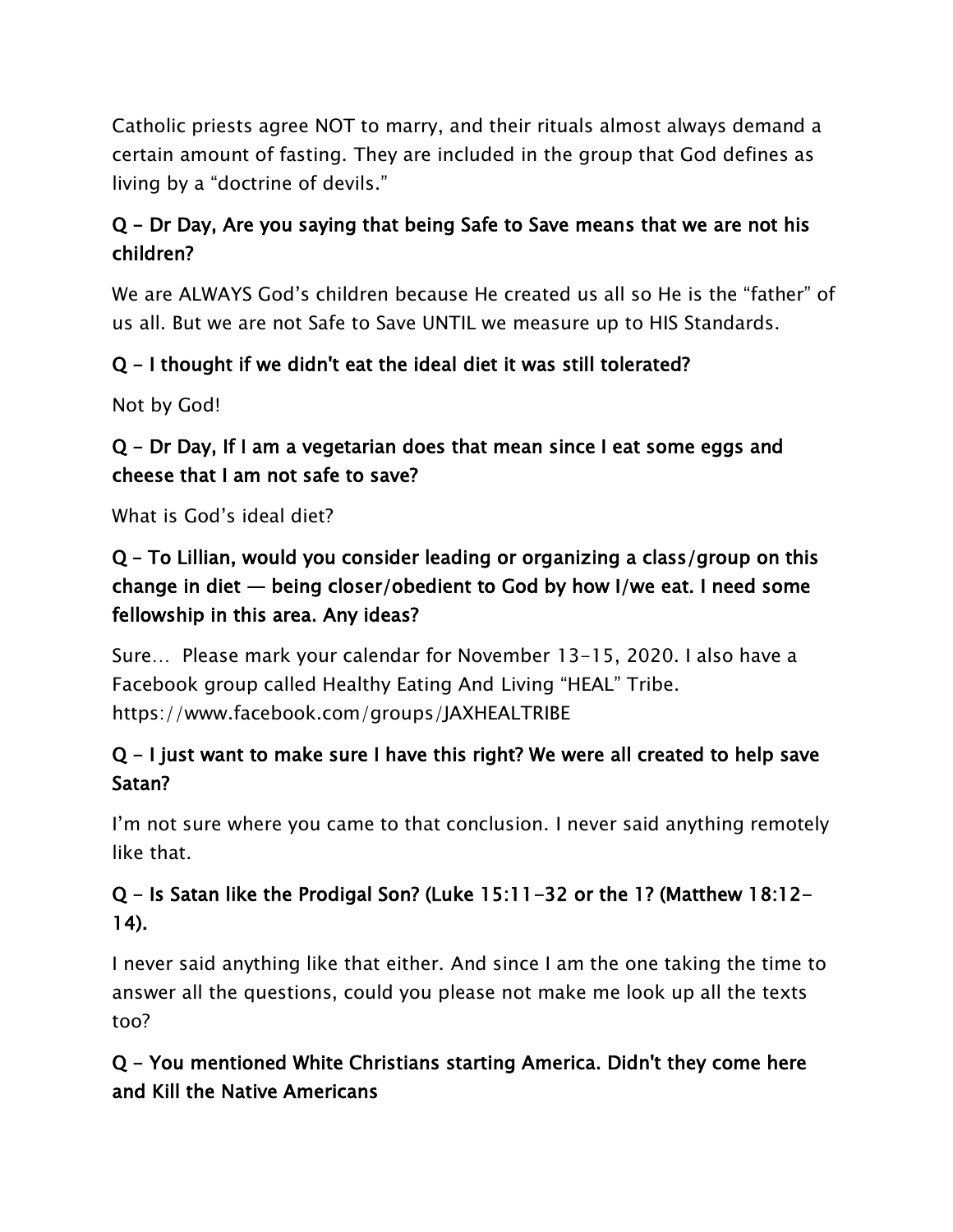Catholic priests agree NOT to marry, and their rituals almost always demand a certain amount of fasting. They are included in the group that God defines as living by a "doctrine of devils."

## Q - Dr Day, Are you saying that being Safe to Save means that we are not his children?

We are ALWAYS God's children because He created us all so He is the "father" of us all. But we are not Safe to Save UNTIL we measure up to HIS Standards.

### Q - I thought if we didn't eat the ideal diet it was still tolerated?

Not by God!

## Q - Dr Day, If I am a vegetarian does that mean since I eat some eggs and cheese that I am not safe to save?

What is God's ideal diet?

## Q – To Lillian, would you consider leading or organizing a class/group on this change in diet — being closer/obedient to God by how I/we eat. I need some fellowship in this area. Any ideas?

Sure… Please mark your calendar for November 13-15, 2020. I also have a Facebook group called Healthy Eating And Living "HEAL" Tribe. https://www.facebook.com/groups/JAXHEALTRIBE

## Q - I just want to make sure I have this right? We were all created to help save Satan?

I'm not sure where you came to that conclusion. I never said anything remotely like that.

## Q - Is Satan like the Prodigal Son? (Luke 15:11-32 or the 1? (Matthew 18:12- 14).

I never said anything like that either. And since I am the one taking the time to answer all the questions, could you please not make me look up all the texts too?

## Q - You mentioned White Christians starting America. Didn't they come here and Kill the Native Americans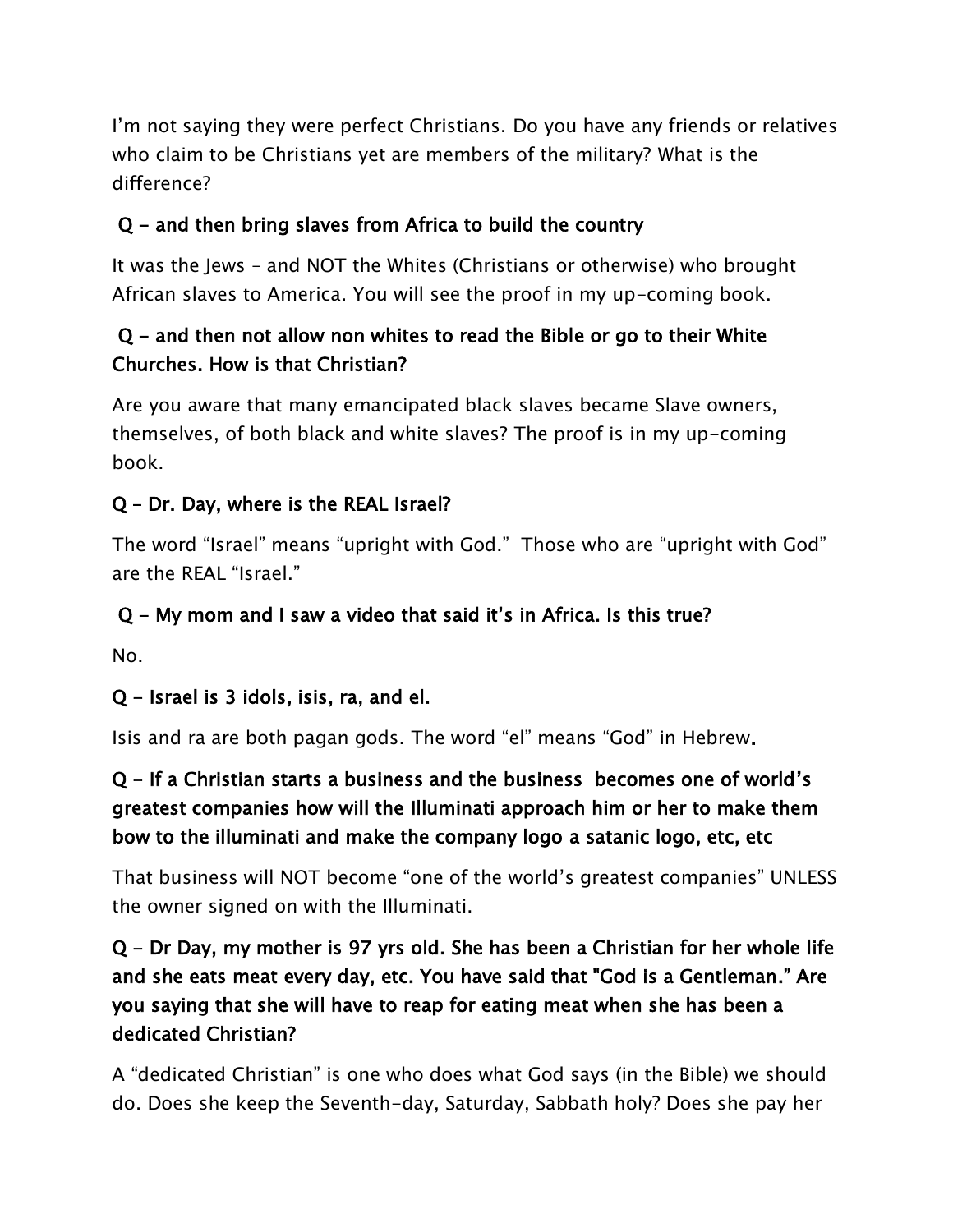I'm not saying they were perfect Christians. Do you have any friends or relatives who claim to be Christians yet are members of the military? What is the difference?

# Q - and then bring slaves from Africa to build the country

It was the Jews – and NOT the Whites (Christians or otherwise) who brought African slaves to America. You will see the proof in my up-coming book.

### $Q$  – and then not allow non whites to read the Bible or go to their White Churches. How is that Christian?

Are you aware that many emancipated black slaves became Slave owners, themselves, of both black and white slaves? The proof is in my up-coming book.

### Q – Dr. Day, where is the REAL Israel?

The word "Israel" means "upright with God." Those who are "upright with God" are the REAL "Israel."

### Q - My mom and I saw a video that said it's in Africa. Is this true?

No.

### Q - Israel is 3 idols, isis, ra, and el.

Isis and ra are both pagan gods. The word "el" means "God" in Hebrew.

## Q - If a Christian starts a business and the business becomes one of world's greatest companies how will the Illuminati approach him or her to make them bow to the illuminati and make the company logo a satanic logo, etc, etc

That business will NOT become "one of the world's greatest companies" UNLESS the owner signed on with the Illuminati.

## Q - Dr Day, my mother is 97 yrs old. She has been a Christian for her whole life and she eats meat every day, etc. You have said that "God is a Gentleman." Are you saying that she will have to reap for eating meat when she has been a dedicated Christian?

A "dedicated Christian" is one who does what God says (in the Bible) we should do. Does she keep the Seventh-day, Saturday, Sabbath holy? Does she pay her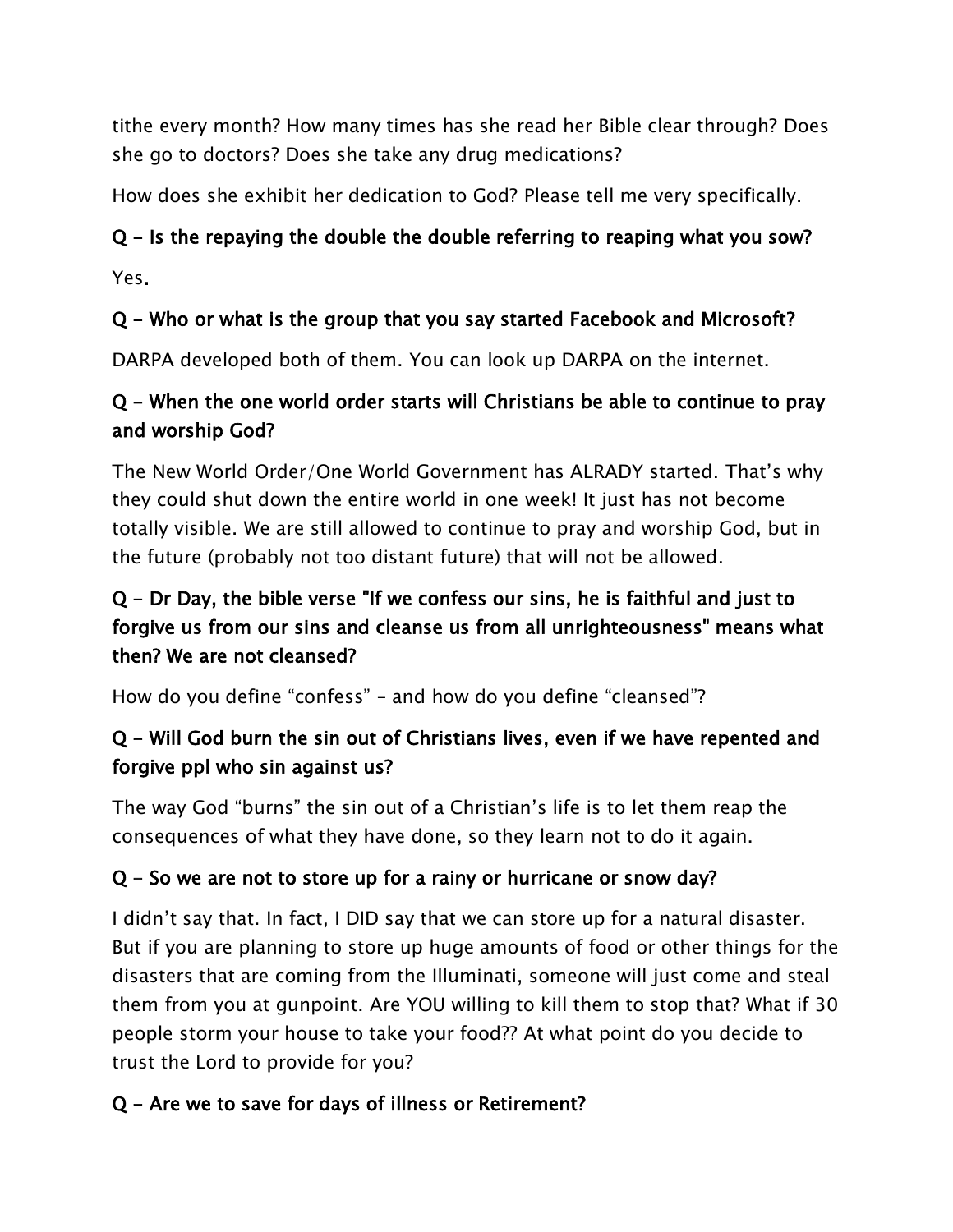tithe every month? How many times has she read her Bible clear through? Does she go to doctors? Does she take any drug medications?

How does she exhibit her dedication to God? Please tell me very specifically.

### Q - Is the repaying the double the double referring to reaping what you sow?

Yes.

#### Q - Who or what is the group that you say started Facebook and Microsoft?

DARPA developed both of them. You can look up DARPA on the internet.

### Q - When the one world order starts will Christians be able to continue to pray and worship God?

The New World Order/One World Government has ALRADY started. That's why they could shut down the entire world in one week! It just has not become totally visible. We are still allowed to continue to pray and worship God, but in the future (probably not too distant future) that will not be allowed.

## Q - Dr Day, the bible verse "If we confess our sins, he is faithful and just to forgive us from our sins and cleanse us from all unrighteousness" means what then? We are not cleansed?

How do you define "confess" – and how do you define "cleansed"?

## Q - Will God burn the sin out of Christians lives, even if we have repented and forgive ppl who sin against us?

The way God "burns" the sin out of a Christian's life is to let them reap the consequences of what they have done, so they learn not to do it again.

### Q - So we are not to store up for a rainy or hurricane or snow day?

I didn't say that. In fact, I DID say that we can store up for a natural disaster. But if you are planning to store up huge amounts of food or other things for the disasters that are coming from the Illuminati, someone will just come and steal them from you at gunpoint. Are YOU willing to kill them to stop that? What if 30 people storm your house to take your food?? At what point do you decide to trust the Lord to provide for you?

### Q - Are we to save for days of illness or Retirement?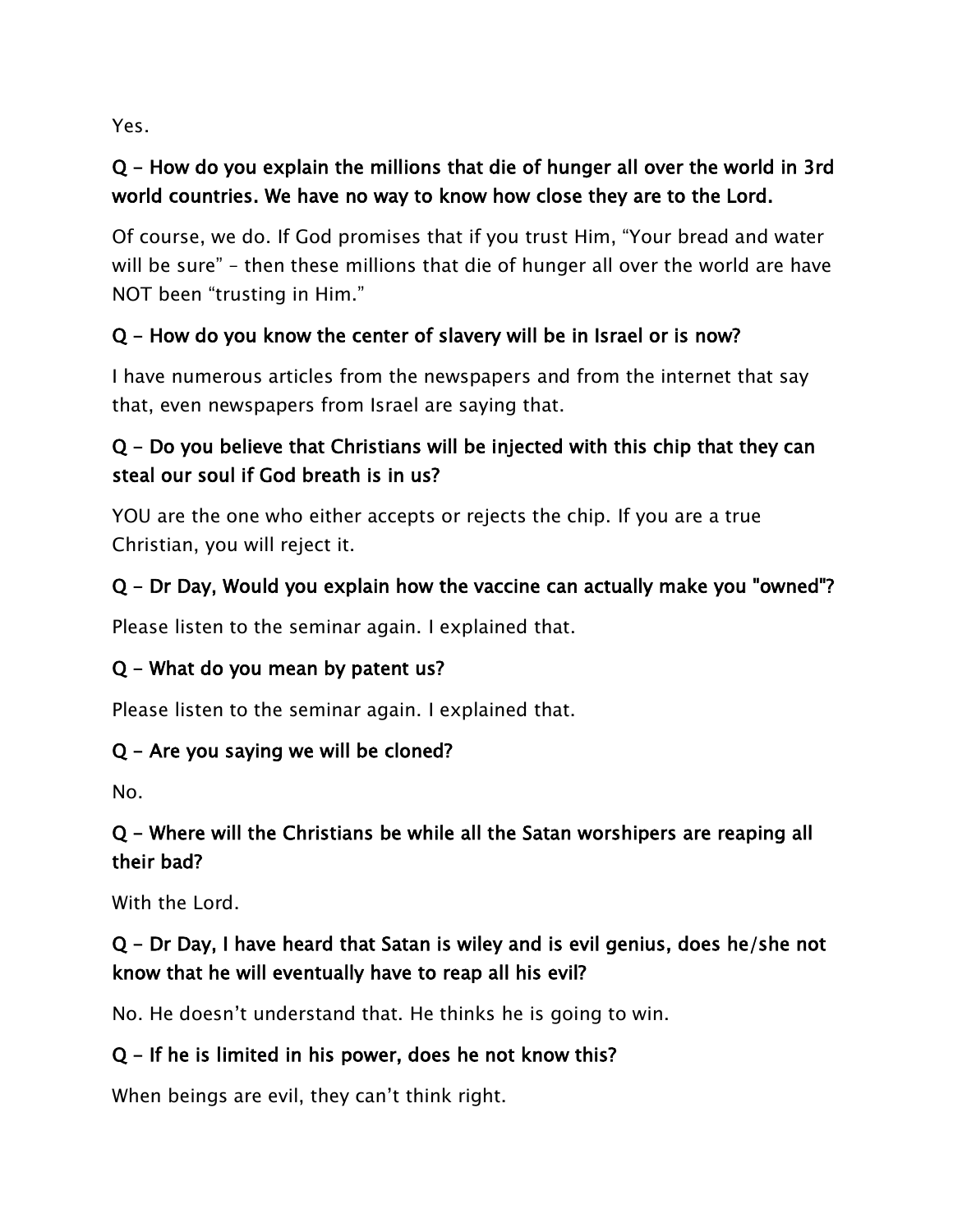Yes.

## Q - How do you explain the millions that die of hunger all over the world in 3rd world countries. We have no way to know how close they are to the Lord.

Of course, we do. If God promises that if you trust Him, "Your bread and water will be sure" – then these millions that die of hunger all over the world are have NOT been "trusting in Him."

## Q - How do you know the center of slavery will be in Israel or is now?

I have numerous articles from the newspapers and from the internet that say that, even newspapers from Israel are saying that.

## Q - Do you believe that Christians will be injected with this chip that they can steal our soul if God breath is in us?

YOU are the one who either accepts or rejects the chip. If you are a true Christian, you will reject it.

### Q - Dr Day, Would you explain how the vaccine can actually make you "owned"?

Please listen to the seminar again. I explained that.

### Q - What do you mean by patent us?

Please listen to the seminar again. I explained that.

### Q - Are you saying we will be cloned?

No.

### Q - Where will the Christians be while all the Satan worshipers are reaping all their bad?

With the Lord.

## Q - Dr Day, I have heard that Satan is wiley and is evil genius, does he/she not know that he will eventually have to reap all his evil?

No. He doesn't understand that. He thinks he is going to win.

### Q - If he is limited in his power, does he not know this?

When beings are evil, they can't think right.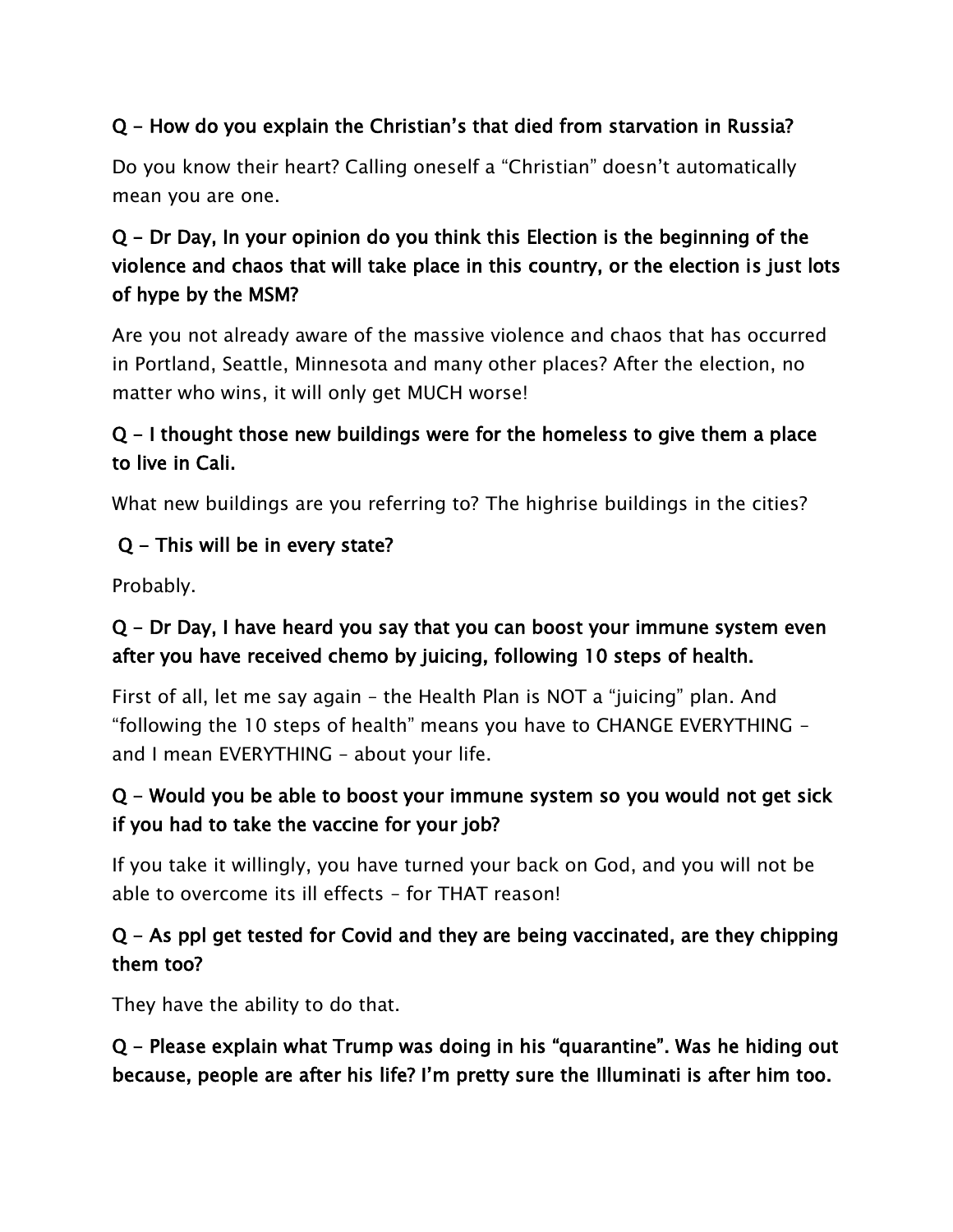### Q - How do you explain the Christian's that died from starvation in Russia?

Do you know their heart? Calling oneself a "Christian" doesn't automatically mean you are one.

## Q - Dr Day, In your opinion do you think this Election is the beginning of the violence and chaos that will take place in this country, or the election is just lots of hype by the MSM?

Are you not already aware of the massive violence and chaos that has occurred in Portland, Seattle, Minnesota and many other places? After the election, no matter who wins, it will only get MUCH worse!

### Q - I thought those new buildings were for the homeless to give them a place to live in Cali.

What new buildings are you referring to? The highrise buildings in the cities?

### Q - This will be in every state?

Probably.

### Q - Dr Day, I have heard you say that you can boost your immune system even after you have received chemo by juicing, following 10 steps of health.

First of all, let me say again – the Health Plan is NOT a "juicing" plan. And "following the 10 steps of health" means you have to CHANGE EVERYTHING – and I mean EVERYTHING – about your life.

### Q - Would you be able to boost your immune system so you would not get sick if you had to take the vaccine for your job?

If you take it willingly, you have turned your back on God, and you will not be able to overcome its ill effects – for THAT reason!

### Q - As ppl get tested for Covid and they are being vaccinated, are they chipping them too?

They have the ability to do that.

### Q - Please explain what Trump was doing in his "quarantine". Was he hiding out because, people are after his life? I'm pretty sure the Illuminati is after him too.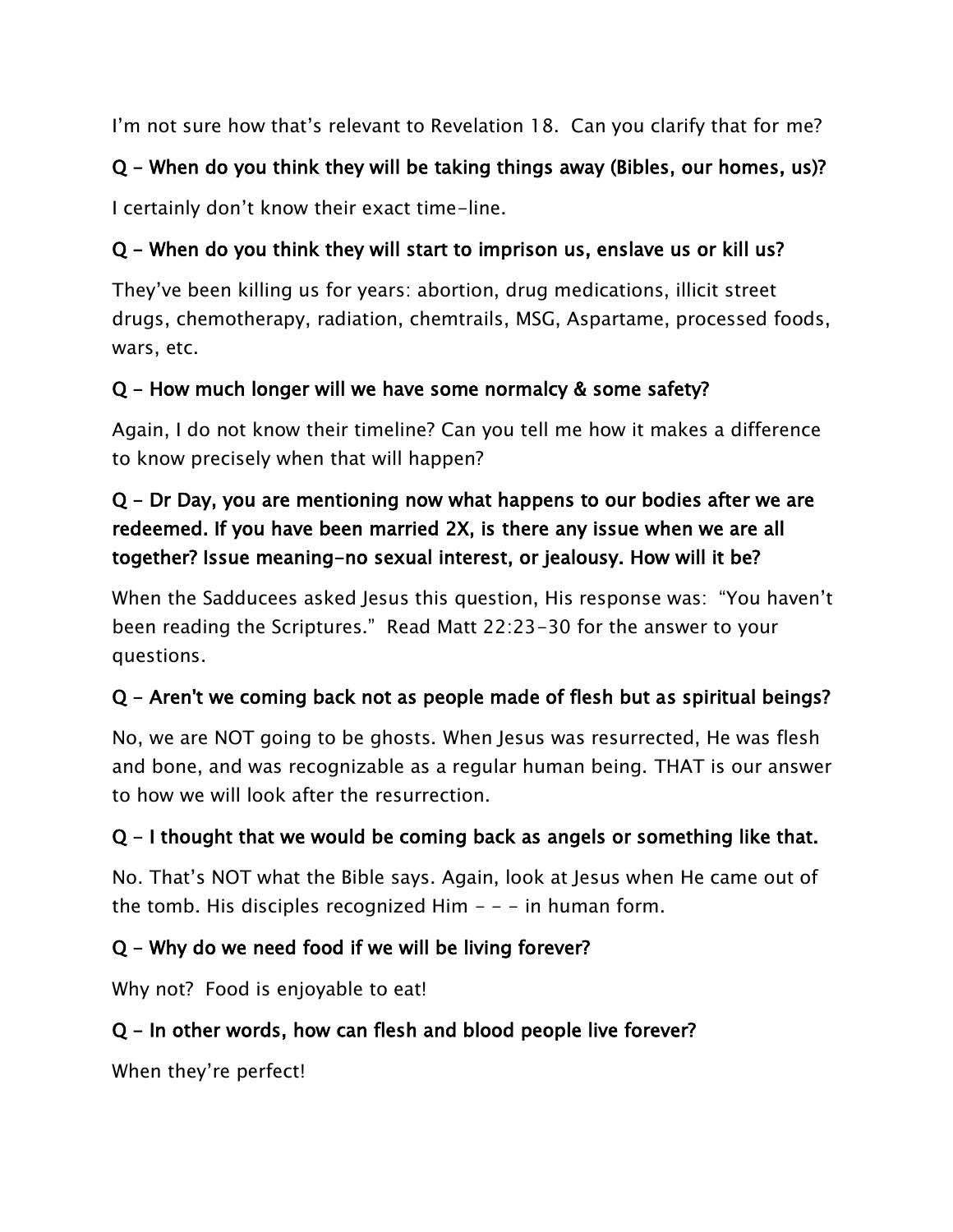I'm not sure how that's relevant to Revelation 18. Can you clarify that for me?

## Q - When do you think they will be taking things away (Bibles, our homes, us)?

I certainly don't know their exact time-line.

## Q - When do you think they will start to imprison us, enslave us or kill us?

They've been killing us for years: abortion, drug medications, illicit street drugs, chemotherapy, radiation, chemtrails, MSG, Aspartame, processed foods, wars, etc.

### Q - How much longer will we have some normalcy & some safety?

Again, I do not know their timeline? Can you tell me how it makes a difference to know precisely when that will happen?

## Q - Dr Day, you are mentioning now what happens to our bodies after we are redeemed. If you have been married 2X, is there any issue when we are all together? Issue meaning-no sexual interest, or jealousy. How will it be?

When the Sadducees asked Jesus this question, His response was: "You haven't been reading the Scriptures." Read Matt 22:23-30 for the answer to your questions.

## Q - Aren't we coming back not as people made of flesh but as spiritual beings?

No, we are NOT going to be ghosts. When Jesus was resurrected, He was flesh and bone, and was recognizable as a regular human being. THAT is our answer to how we will look after the resurrection.

## Q - I thought that we would be coming back as angels or something like that.

No. That's NOT what the Bible says. Again, look at Jesus when He came out of the tomb. His disciples recognized Him  $- -$  - in human form.

## Q - Why do we need food if we will be living forever?

Why not? Food is enjoyable to eat!

### Q - In other words, how can flesh and blood people live forever?

When they're perfect!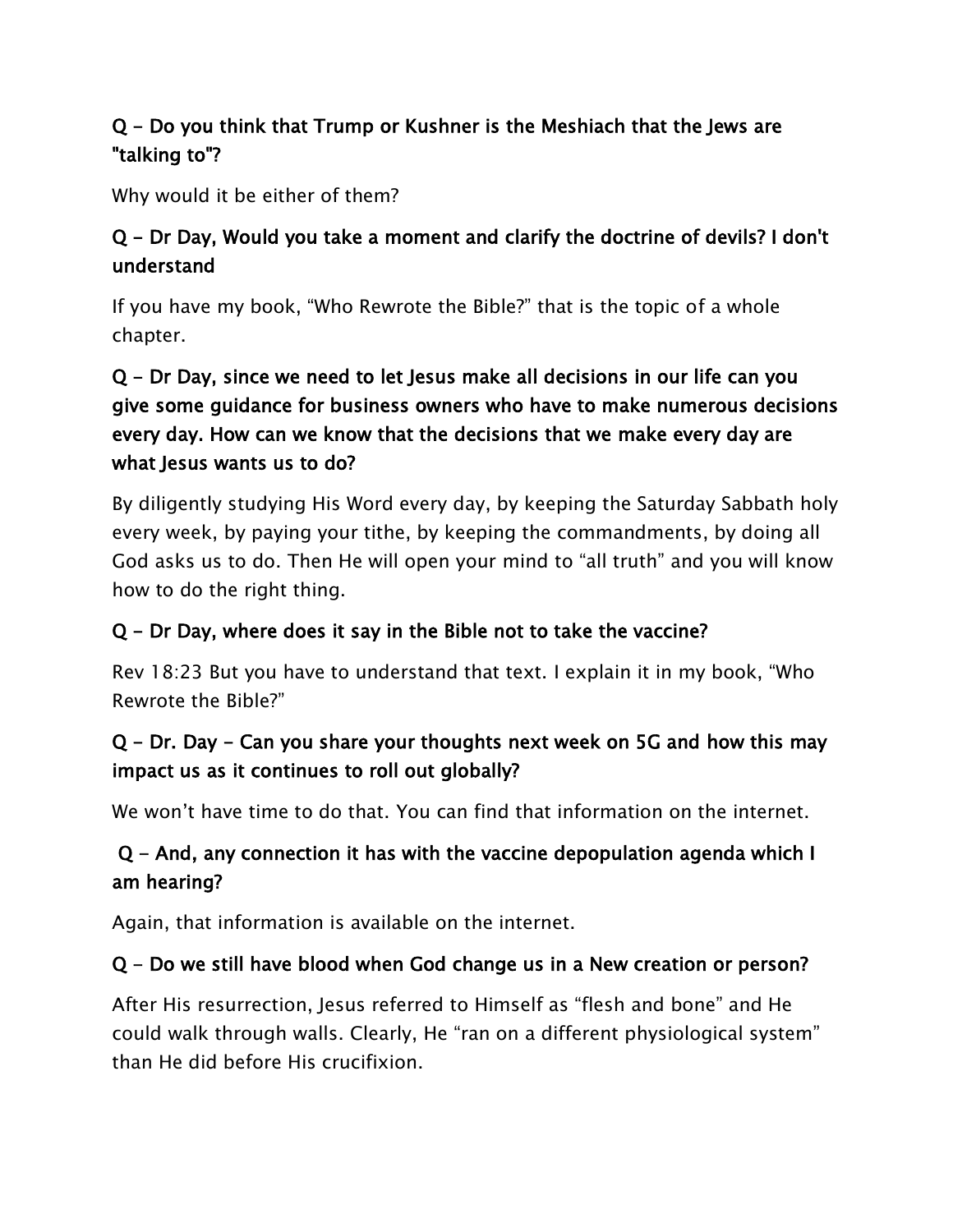### Q - Do you think that Trump or Kushner is the Meshiach that the Jews are "talking to"?

Why would it be either of them?

### Q - Dr Day, Would you take a moment and clarify the doctrine of devils? I don't understand

If you have my book, "Who Rewrote the Bible?" that is the topic of a whole chapter.

### Q - Dr Day, since we need to let Jesus make all decisions in our life can you give some guidance for business owners who have to make numerous decisions every day. How can we know that the decisions that we make every day are what Jesus wants us to do?

By diligently studying His Word every day, by keeping the Saturday Sabbath holy every week, by paying your tithe, by keeping the commandments, by doing all God asks us to do. Then He will open your mind to "all truth" and you will know how to do the right thing.

#### Q - Dr Day, where does it say in the Bible not to take the vaccine?

Rev 18:23 But you have to understand that text. I explain it in my book, "Who Rewrote the Bible?"

### Q - Dr. Day - Can you share your thoughts next week on 5G and how this may impact us as it continues to roll out globally?

We won't have time to do that. You can find that information on the internet.

### Q - And, any connection it has with the vaccine depopulation agenda which I am hearing?

Again, that information is available on the internet.

#### Q - Do we still have blood when God change us in a New creation or person?

After His resurrection, Jesus referred to Himself as "flesh and bone" and He could walk through walls. Clearly, He "ran on a different physiological system" than He did before His crucifixion.